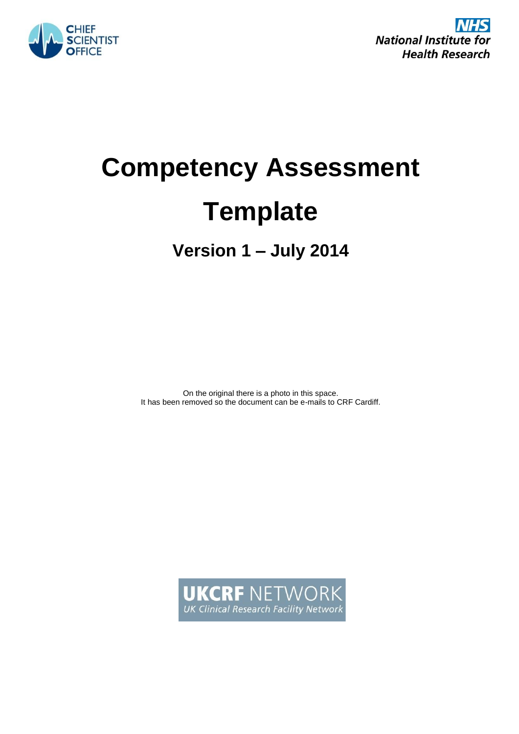



# **Competency Assessment Template**

**Version 1 – July 2014**

On the original there is a photo in this space. It has been removed so the document can be e-mails to CRF Cardiff.

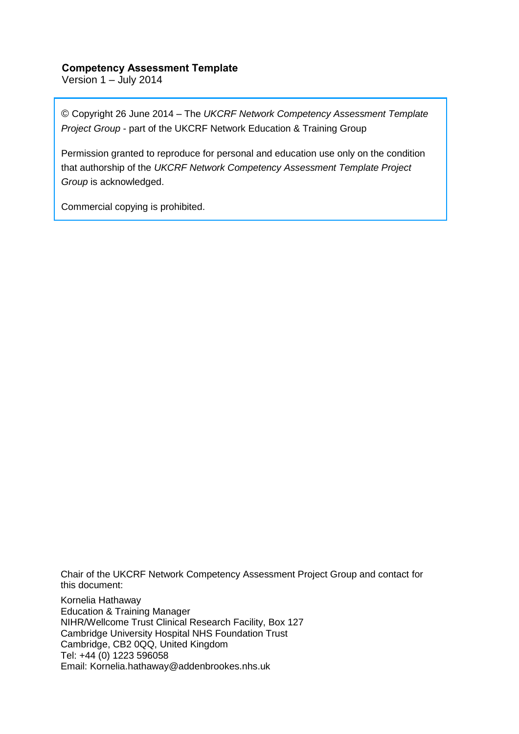### **Competency Assessment Template**

Version 1 – July 2014

© Copyright 26 June 2014 – The *UKCRF Network Competency Assessment Template Project Group* - part of the UKCRF Network Education & Training Group

Permission granted to reproduce for personal and education use only on the condition that authorship of the *UKCRF Network Competency Assessment Template Project Group* is acknowledged.

Commercial copying is prohibited.

Chair of the UKCRF Network Competency Assessment Project Group and contact for this document:

Kornelia Hathaway Education & Training Manager NIHR/Wellcome Trust Clinical Research Facility, Box 127 Cambridge University Hospital NHS Foundation Trust Cambridge, CB2 0QQ, United Kingdom Tel: +44 (0) 1223 596058 Email: Kornelia.hathaway@addenbrookes.nhs.uk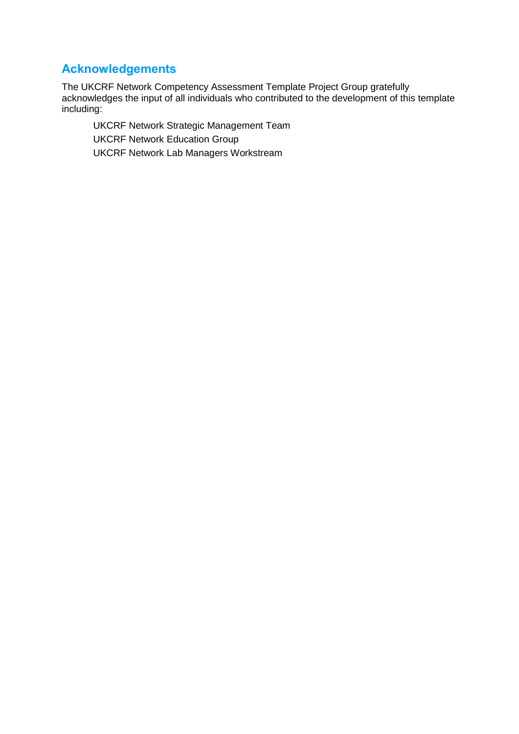### **Acknowledgements**

The UKCRF Network Competency Assessment Template Project Group gratefully acknowledges the input of all individuals who contributed to the development of this template including:

UKCRF Network Strategic Management Team UKCRF Network Education Group UKCRF Network Lab Managers Workstream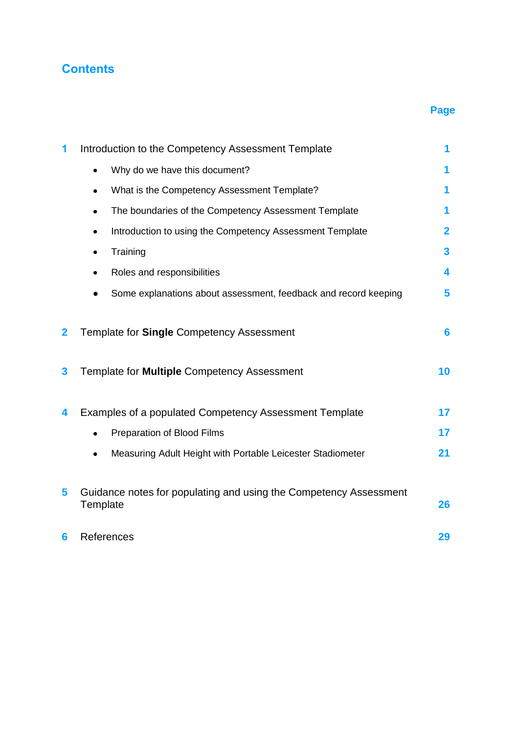### **Contents**

### **Page**

| 1            | Introduction to the Competency Assessment Template                            | 1                       |
|--------------|-------------------------------------------------------------------------------|-------------------------|
|              | Why do we have this document?                                                 | 1                       |
|              | What is the Competency Assessment Template?                                   | 1                       |
|              | The boundaries of the Competency Assessment Template                          | 1                       |
|              | Introduction to using the Competency Assessment Template                      | $\overline{\mathbf{2}}$ |
|              | Training<br>$\bullet$                                                         | $\overline{\mathbf{3}}$ |
|              | Roles and responsibilities                                                    | 4                       |
|              | Some explanations about assessment, feedback and record keeping               | 5                       |
| $\mathbf{2}$ | Template for <b>Single</b> Competency Assessment                              | $6\phantom{1}6$         |
| 3            | Template for Multiple Competency Assessment                                   | 10                      |
| 4            | Examples of a populated Competency Assessment Template                        | 17                      |
|              | Preparation of Blood Films                                                    | 17                      |
|              | Measuring Adult Height with Portable Leicester Stadiometer                    | 21                      |
| 5            | Guidance notes for populating and using the Competency Assessment<br>Template | 26                      |
| 6            | References                                                                    | 29                      |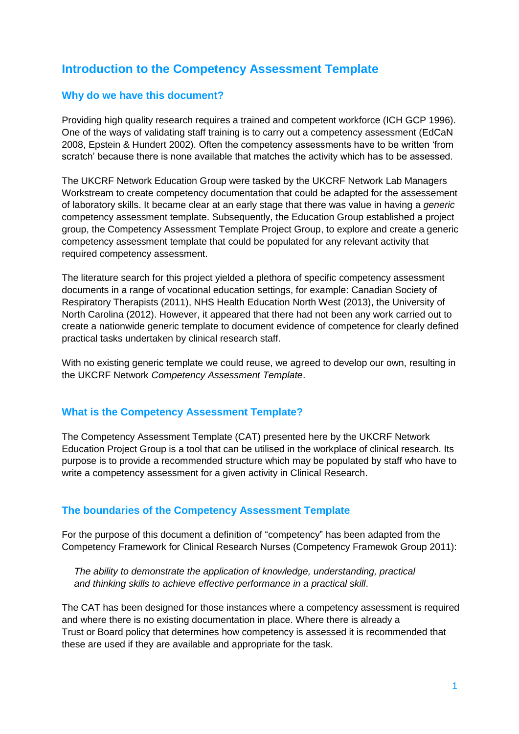### **Introduction to the Competency Assessment Template**

### **Why do we have this document?**

Providing high quality research requires a trained and competent workforce (ICH GCP 1996). One of the ways of validating staff training is to carry out a competency assessment (EdCaN 2008, Epstein & Hundert 2002). Often the competency assessments have to be written 'from scratch' because there is none available that matches the activity which has to be assessed.

The UKCRF Network Education Group were tasked by the UKCRF Network Lab Managers Workstream to create competency documentation that could be adapted for the assessement of laboratory skills. It became clear at an early stage that there was value in having a *generic* competency assessment template. Subsequently, the Education Group established a project group, the Competency Assessment Template Project Group, to explore and create a generic competency assessment template that could be populated for any relevant activity that required competency assessment.

The literature search for this project yielded a plethora of specific competency assessment documents in a range of vocational education settings, for example: Canadian Society of Respiratory Therapists (2011), NHS Health Education North West (2013), the University of North Carolina (2012). However, it appeared that there had not been any work carried out to create a nationwide generic template to document evidence of competence for clearly defined practical tasks undertaken by clinical research staff.

With no existing generic template we could reuse, we agreed to develop our own, resulting in the UKCRF Network *Competency Assessment Template*.

### **What is the Competency Assessment Template?**

The Competency Assessment Template (CAT) presented here by the UKCRF Network Education Project Group is a tool that can be utilised in the workplace of clinical research. Its purpose is to provide a recommended structure which may be populated by staff who have to write a competency assessment for a given activity in Clinical Research.

### **The boundaries of the Competency Assessment Template**

For the purpose of this document a definition of "competency" has been adapted from the Competency Framework for Clinical Research Nurses (Competency Framewok Group 2011):

*The ability to demonstrate the application of knowledge, understanding, practical and thinking skills to achieve effective performance in a practical skill*.

The CAT has been designed for those instances where a competency assessment is required and where there is no existing documentation in place. Where there is already a Trust or Board policy that determines how competency is assessed it is recommended that these are used if they are available and appropriate for the task.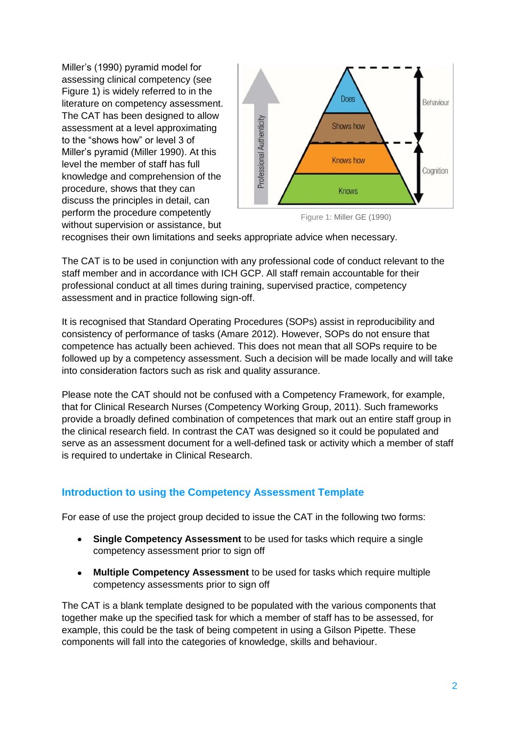Miller's (1990) pyramid model for assessing clinical competency (see Figure 1) is widely referred to in the literature on competency assessment. The CAT has been designed to allow assessment at a level approximating to the "shows how" or level 3 of Miller's pyramid (Miller 1990). At this level the member of staff has full knowledge and comprehension of the procedure, shows that they can discuss the principles in detail, can perform the procedure competently without supervision or assistance, but



Figure 1: Miller GE (1990)

recognises their own limitations and seeks appropriate advice when necessary.

The CAT is to be used in conjunction with any professional code of conduct relevant to the staff member and in accordance with ICH GCP. All staff remain accountable for their professional conduct at all times during training, supervised practice, competency assessment and in practice following sign-off.

It is recognised that Standard Operating Procedures (SOPs) assist in reproducibility and consistency of performance of tasks (Amare 2012). However, SOPs do not ensure that competence has actually been achieved. This does not mean that all SOPs require to be followed up by a competency assessment. Such a decision will be made locally and will take into consideration factors such as risk and quality assurance.

Please note the CAT should not be confused with a Competency Framework, for example, that for Clinical Research Nurses (Competency Working Group, 2011). Such frameworks provide a broadly defined combination of competences that mark out an entire staff group in the clinical research field. In contrast the CAT was designed so it could be populated and serve as an assessment document for a well-defined task or activity which a member of staff is required to undertake in Clinical Research.

### **Introduction to using the Competency Assessment Template**

For ease of use the project group decided to issue the CAT in the following two forms:

- **Single Competency Assessment** to be used for tasks which require a single competency assessment prior to sign off
- **Multiple Competency Assessment** to be used for tasks which require multiple competency assessments prior to sign off

The CAT is a blank template designed to be populated with the various components that together make up the specified task for which a member of staff has to be assessed, for example, this could be the task of being competent in using a Gilson Pipette. These components will fall into the categories of knowledge, skills and behaviour.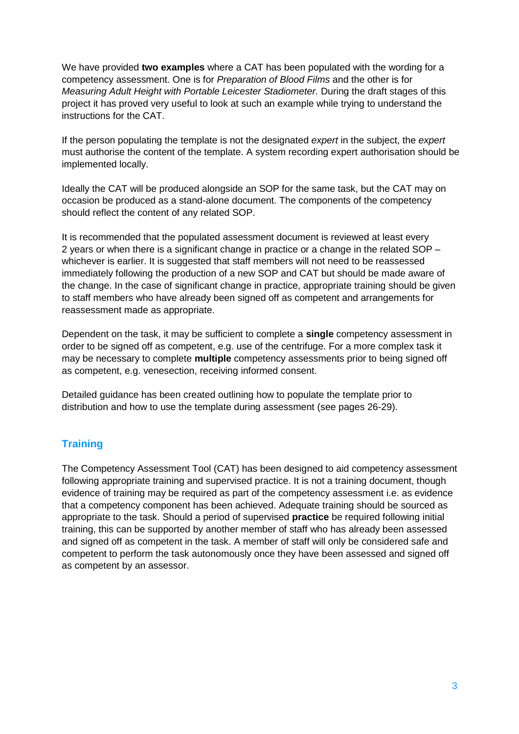We have provided **two examples** where a CAT has been populated with the wording for a competency assessment. One is for *Preparation of Blood Films* and the other is for *Measuring Adult Height with Portable Leicester Stadiometer.* During the draft stages of this project it has proved very useful to look at such an example while trying to understand the instructions for the CAT.

If the person populating the template is not the designated *expert* in the subject, the *expert* must authorise the content of the template. A system recording expert authorisation should be implemented locally.

Ideally the CAT will be produced alongside an SOP for the same task, but the CAT may on occasion be produced as a stand-alone document. The components of the competency should reflect the content of any related SOP.

It is recommended that the populated assessment document is reviewed at least every 2 years or when there is a significant change in practice or a change in the related SOP – whichever is earlier. It is suggested that staff members will not need to be reassessed immediately following the production of a new SOP and CAT but should be made aware of the change. In the case of significant change in practice, appropriate training should be given to staff members who have already been signed off as competent and arrangements for reassessment made as appropriate.

Dependent on the task, it may be sufficient to complete a **single** competency assessment in order to be signed off as competent, e.g. use of the centrifuge. For a more complex task it may be necessary to complete **multiple** competency assessments prior to being signed off as competent, e.g. venesection, receiving informed consent.

Detailed guidance has been created outlining how to populate the template prior to distribution and how to use the template during assessment (see pages 26-29).

### **Training**

The Competency Assessment Tool (CAT) has been designed to aid competency assessment following appropriate training and supervised practice. It is not a training document, though evidence of training may be required as part of the competency assessment i.e. as evidence that a competency component has been achieved. Adequate training should be sourced as appropriate to the task. Should a period of supervised **practice** be required following initial training, this can be supported by another member of staff who has already been assessed and signed off as competent in the task. A member of staff will only be considered safe and competent to perform the task autonomously once they have been assessed and signed off as competent by an assessor.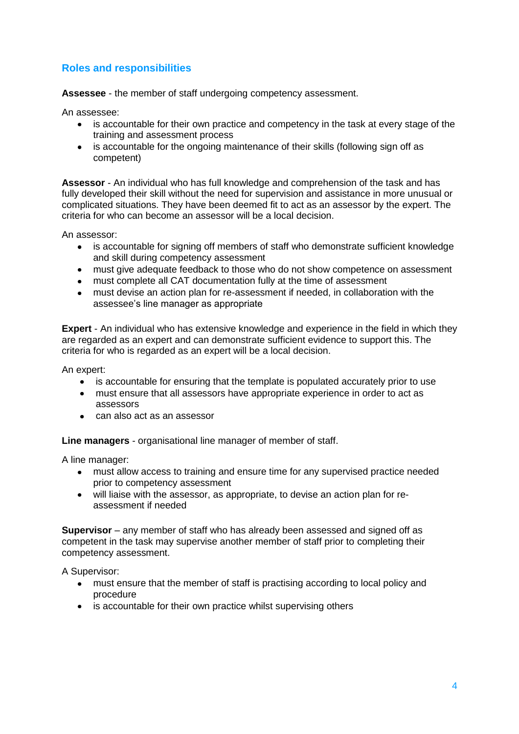### **Roles and responsibilities**

**Assessee** - the member of staff undergoing competency assessment.

An assessee:

- is accountable for their own practice and competency in the task at every stage of the training and assessment process
- is accountable for the ongoing maintenance of their skills (following sign off as competent)

**Assessor** - An individual who has full knowledge and comprehension of the task and has fully developed their skill without the need for supervision and assistance in more unusual or complicated situations. They have been deemed fit to act as an assessor by the expert. The criteria for who can become an assessor will be a local decision.

An assessor:

- is accountable for signing off members of staff who demonstrate sufficient knowledge and skill during competency assessment
- must give adequate feedback to those who do not show competence on assessment
- must complete all CAT documentation fully at the time of assessment
- must devise an action plan for re-assessment if needed, in collaboration with the assessee's line manager as appropriate

**Expert** - An individual who has extensive knowledge and experience in the field in which they are regarded as an expert and can demonstrate sufficient evidence to support this. The criteria for who is regarded as an expert will be a local decision.

An expert:

- is accountable for ensuring that the template is populated accurately prior to use
- must ensure that all assessors have appropriate experience in order to act as assessors
- can also act as an assessor

**Line managers** - organisational line manager of member of staff.

A line manager:

- must allow access to training and ensure time for any supervised practice needed prior to competency assessment
- will liaise with the assessor, as appropriate, to devise an action plan for reassessment if needed

**Supervisor** – any member of staff who has already been assessed and signed off as competent in the task may supervise another member of staff prior to completing their competency assessment.

A Supervisor:

- must ensure that the member of staff is practising according to local policy and procedure
- is accountable for their own practice whilst supervising others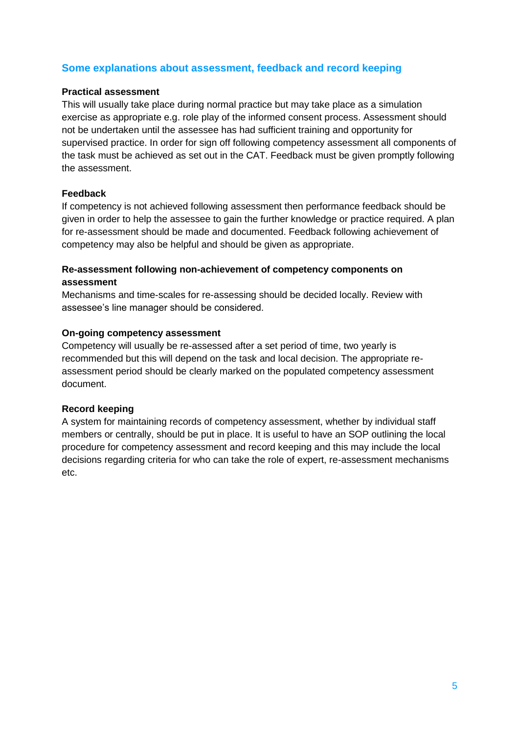### **Some explanations about assessment, feedback and record keeping**

#### **Practical assessment**

This will usually take place during normal practice but may take place as a simulation exercise as appropriate e.g. role play of the informed consent process. Assessment should not be undertaken until the assessee has had sufficient training and opportunity for supervised practice. In order for sign off following competency assessment all components of the task must be achieved as set out in the CAT. Feedback must be given promptly following the assessment.

#### **Feedback**

If competency is not achieved following assessment then performance feedback should be given in order to help the assessee to gain the further knowledge or practice required. A plan for re-assessment should be made and documented. Feedback following achievement of competency may also be helpful and should be given as appropriate.

#### **Re-assessment following non-achievement of competency components on assessment**

Mechanisms and time-scales for re-assessing should be decided locally. Review with assessee's line manager should be considered.

#### **On-going competency assessment**

Competency will usually be re-assessed after a set period of time, two yearly is recommended but this will depend on the task and local decision. The appropriate reassessment period should be clearly marked on the populated competency assessment document.

#### **Record keeping**

A system for maintaining records of competency assessment, whether by individual staff members or centrally, should be put in place. It is useful to have an SOP outlining the local procedure for competency assessment and record keeping and this may include the local decisions regarding criteria for who can take the role of expert, re-assessment mechanisms etc.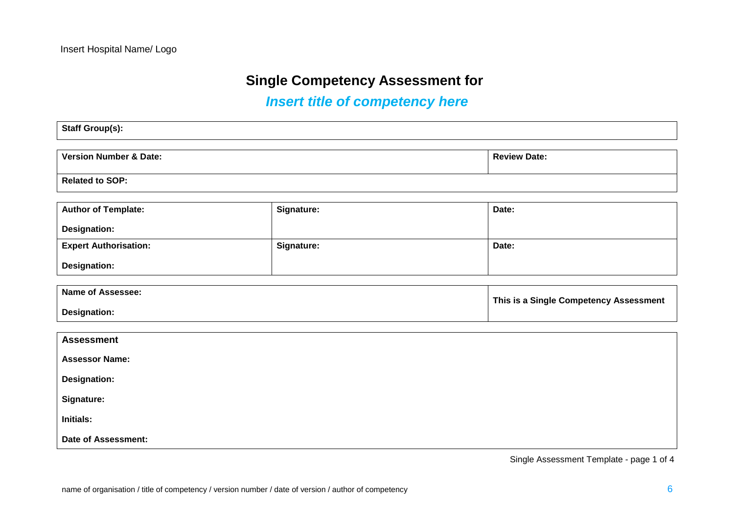## **Single Competency Assessment for**

# *Insert title of competency here*

| Staff Group(s):        |                     |
|------------------------|---------------------|
|                        |                     |
| Version Number & Date: | <b>Review Date:</b> |
|                        |                     |
| <b>Related to SOP:</b> |                     |

| <b>Author of Template:</b>   | Signature: | Date: |
|------------------------------|------------|-------|
| Designation:                 |            |       |
| <b>Expert Authorisation:</b> | Signature: | Date: |
| <b>Designation:</b>          |            |       |

| <b>Name of Assessee:</b> | This is a Single Competency Assessment |
|--------------------------|----------------------------------------|
| Designation:             |                                        |

| <b>Assessment</b>          |  |
|----------------------------|--|
| <b>Assessor Name:</b>      |  |
| <b>Designation:</b>        |  |
| Signature:                 |  |
| <b>Initials:</b>           |  |
| <b>Date of Assessment:</b> |  |

Single Assessment Template - page 1 of 4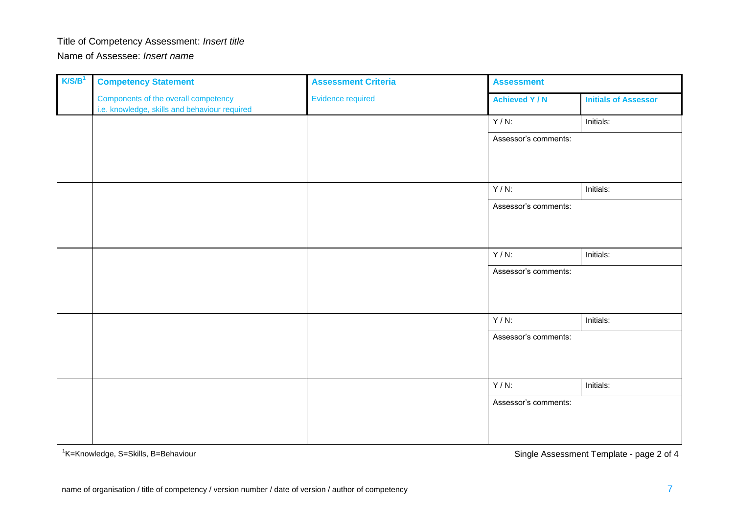# Title of Competency Assessment: *Insert title*

Name of Assessee: *Insert name*

| K/S/B <sup>1</sup> | <b>Competency Statement</b>                                                           | <b>Assessment Criteria</b> | <b>Assessment</b>     |                             |
|--------------------|---------------------------------------------------------------------------------------|----------------------------|-----------------------|-----------------------------|
|                    | Components of the overall competency<br>i.e. knowledge, skills and behaviour required | Evidence required          | <b>Achieved Y / N</b> | <b>Initials of Assessor</b> |
|                    |                                                                                       |                            | $Y/N$ :               | Initials:                   |
|                    |                                                                                       |                            | Assessor's comments:  |                             |
|                    |                                                                                       |                            |                       |                             |
|                    |                                                                                       |                            |                       |                             |
|                    |                                                                                       |                            | $Y/N$ :               | Initials:                   |
|                    |                                                                                       |                            | Assessor's comments:  |                             |
|                    |                                                                                       |                            |                       |                             |
|                    |                                                                                       |                            |                       |                             |
|                    |                                                                                       |                            | $Y/N$ :               | Initials:                   |
|                    |                                                                                       |                            | Assessor's comments:  |                             |
|                    |                                                                                       |                            |                       |                             |
|                    |                                                                                       |                            |                       |                             |
|                    |                                                                                       |                            | $Y/N$ :               | Initials:                   |
|                    |                                                                                       |                            | Assessor's comments:  |                             |
|                    |                                                                                       |                            |                       |                             |
|                    |                                                                                       |                            |                       |                             |
|                    |                                                                                       |                            | $Y/N$ :               | Initials:                   |
|                    |                                                                                       |                            | Assessor's comments:  |                             |
|                    |                                                                                       |                            |                       |                             |
|                    |                                                                                       |                            |                       |                             |

<sup>1</sup>K=Knowledge, S=Skills, B=Behaviour

Single Assessment Template - page 2 of 4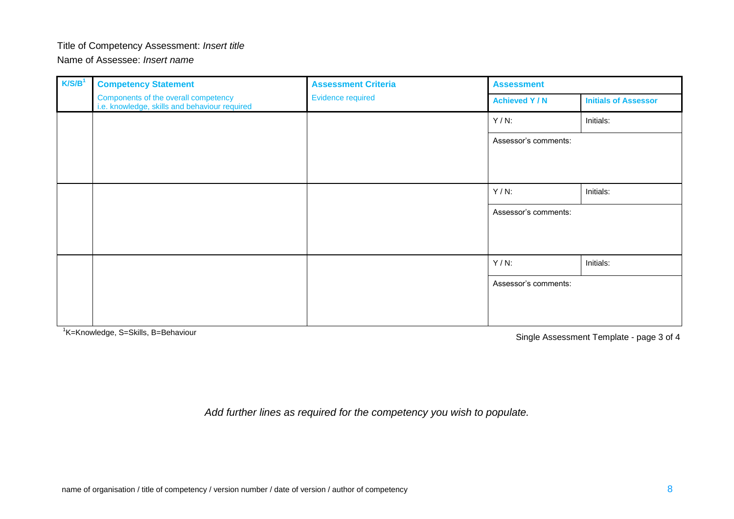#### Title of Competency Assessment: *Insert title*

Name of Assessee: *Insert name*

| K/S/B <sup>1</sup> | <b>Competency Statement</b>                                                           | <b>Assessment Criteria</b><br><b>Evidence required</b> | <b>Assessment</b>    |                             |
|--------------------|---------------------------------------------------------------------------------------|--------------------------------------------------------|----------------------|-----------------------------|
|                    | Components of the overall competency<br>i.e. knowledge, skills and behaviour required |                                                        | <b>Achieved Y/N</b>  | <b>Initials of Assessor</b> |
|                    |                                                                                       |                                                        | $Y/N$ :              | Initials:                   |
|                    |                                                                                       |                                                        | Assessor's comments: |                             |
|                    |                                                                                       |                                                        |                      |                             |
|                    |                                                                                       |                                                        |                      |                             |
|                    |                                                                                       |                                                        | $Y/N$ :              | Initials:                   |
|                    |                                                                                       |                                                        | Assessor's comments: |                             |
|                    |                                                                                       |                                                        |                      |                             |
|                    |                                                                                       |                                                        |                      |                             |
|                    |                                                                                       |                                                        | $Y/N$ :              | Initials:                   |
|                    |                                                                                       |                                                        | Assessor's comments: |                             |
|                    |                                                                                       |                                                        |                      |                             |
|                    |                                                                                       |                                                        |                      |                             |

<sup>1</sup>K=Knowledge, S=Skills, B=Behaviour

Single Assessment Template - page 3 of 4

*Add further lines as required for the competency you wish to populate.*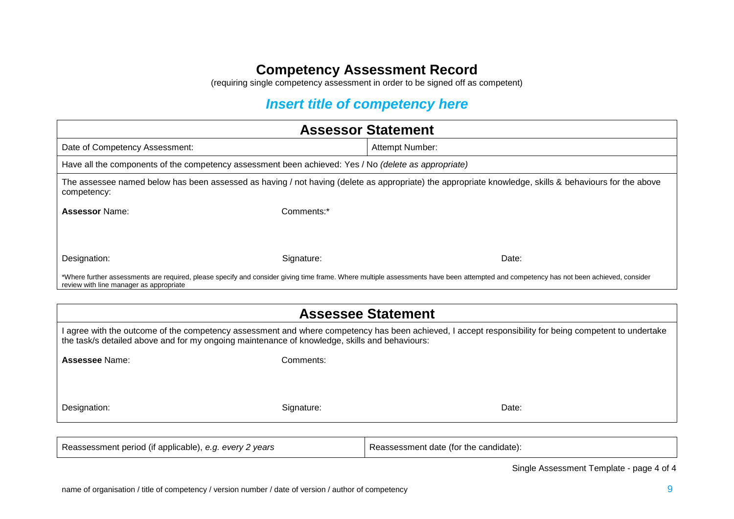(requiring single competency assessment in order to be signed off as competent)

## *Insert title of competency here*

| <b>Assessor Statement</b>                                                                                                                                                                                                                               |            |                                                                                                                                                                                       |  |
|---------------------------------------------------------------------------------------------------------------------------------------------------------------------------------------------------------------------------------------------------------|------------|---------------------------------------------------------------------------------------------------------------------------------------------------------------------------------------|--|
| Date of Competency Assessment:                                                                                                                                                                                                                          |            | Attempt Number:                                                                                                                                                                       |  |
| Have all the components of the competency assessment been achieved: Yes / No (delete as appropriate)                                                                                                                                                    |            |                                                                                                                                                                                       |  |
| competency:                                                                                                                                                                                                                                             |            | The assessee named below has been assessed as having / not having (delete as appropriate) the appropriate knowledge, skills & behaviours for the above                                |  |
| <b>Assessor Name:</b>                                                                                                                                                                                                                                   | Comments:* |                                                                                                                                                                                       |  |
|                                                                                                                                                                                                                                                         |            |                                                                                                                                                                                       |  |
| Designation:                                                                                                                                                                                                                                            | Signature: | Date:                                                                                                                                                                                 |  |
| review with line manager as appropriate                                                                                                                                                                                                                 |            | *Where further assessments are required, please specify and consider giving time frame. Where multiple assessments have been attempted and competency has not been achieved, consider |  |
|                                                                                                                                                                                                                                                         |            |                                                                                                                                                                                       |  |
| <b>Assessee Statement</b>                                                                                                                                                                                                                               |            |                                                                                                                                                                                       |  |
| I agree with the outcome of the competency assessment and where competency has been achieved, I accept responsibility for being competent to undertake<br>the task/s detailed above and for my ongoing maintenance of knowledge, skills and behaviours: |            |                                                                                                                                                                                       |  |
| Assessee Name:                                                                                                                                                                                                                                          | Comments:  |                                                                                                                                                                                       |  |
|                                                                                                                                                                                                                                                         |            |                                                                                                                                                                                       |  |
| Designation:                                                                                                                                                                                                                                            | Signature: | Date:                                                                                                                                                                                 |  |

| Reassessment period (if applicable), e.g. every 2 years | Reassessment date (for the candidate): |
|---------------------------------------------------------|----------------------------------------|
|---------------------------------------------------------|----------------------------------------|

Single Assessment Template - page 4 of 4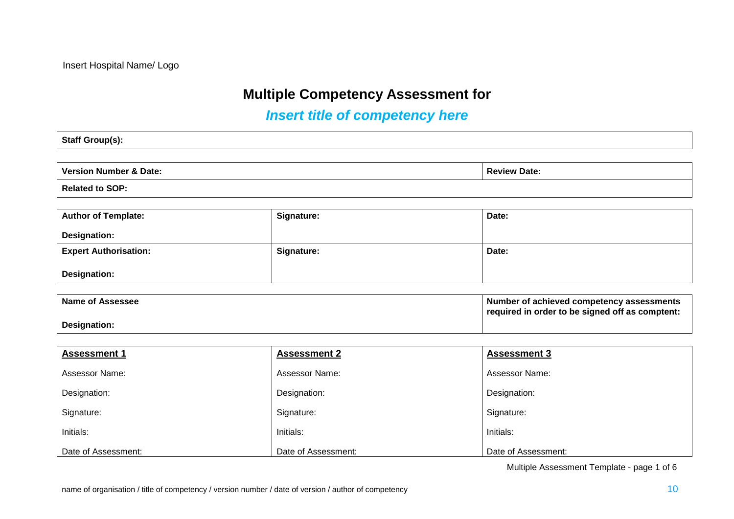## **Multiple Competency Assessment for**

# *Insert title of competency here*

### **Staff Group(s):**

| Version Number & Date: | <b>Review Date:</b> |
|------------------------|---------------------|
| Related to SOP:        |                     |

| <b>Author of Template:</b>   | Signature: | Date: |
|------------------------------|------------|-------|
| <b>Designation:</b>          |            |       |
| <b>Expert Authorisation:</b> | Signature: | Date: |
| <b>Designation:</b>          |            |       |

| Name of Assessee | Number of achieved competency assessments<br>required in order to be signed off as comptent: |
|------------------|----------------------------------------------------------------------------------------------|
| Designation:     |                                                                                              |

| <b>Assessment 1</b>   | <b>Assessment 2</b> | <b>Assessment 3</b>   |
|-----------------------|---------------------|-----------------------|
| <b>Assessor Name:</b> | Assessor Name:      | <b>Assessor Name:</b> |
| Designation:          | Designation:        | Designation:          |
| Signature:            | Signature:          | Signature:            |
| Initials:             | Initials:           | Initials:             |
| Date of Assessment:   | Date of Assessment: | Date of Assessment:   |

Multiple Assessment Template - page 1 of 6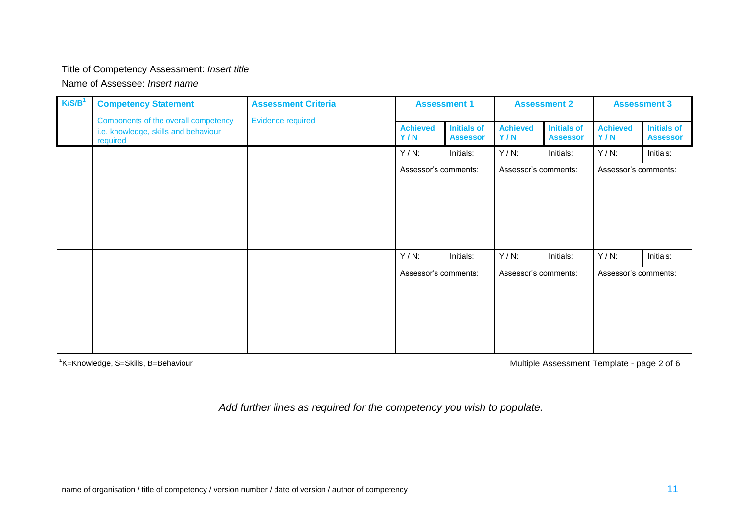### Title of Competency Assessment: *Insert title*

Name of Assessee: *Insert name*

| K/S/B <sup>1</sup> | <b>Competency Statement</b>                                                              | <b>Assessment Criteria</b><br><b>Evidence required</b> | <b>Assessment 1</b>    |                                       | <b>Assessment 2</b>    |                                       | <b>Assessment 3</b>    |                                       |
|--------------------|------------------------------------------------------------------------------------------|--------------------------------------------------------|------------------------|---------------------------------------|------------------------|---------------------------------------|------------------------|---------------------------------------|
|                    | Components of the overall competency<br>i.e. knowledge, skills and behaviour<br>required |                                                        | <b>Achieved</b><br>Y/N | <b>Initials of</b><br><b>Assessor</b> | <b>Achieved</b><br>Y/N | <b>Initials of</b><br><b>Assessor</b> | <b>Achieved</b><br>Y/N | <b>Initials of</b><br><b>Assessor</b> |
|                    |                                                                                          |                                                        | $Y/N$ :                | Initials:                             | $Y/N$ :                | Initials:                             | $Y/N$ :                | Initials:                             |
|                    |                                                                                          |                                                        | Assessor's comments:   |                                       | Assessor's comments:   |                                       | Assessor's comments:   |                                       |
|                    |                                                                                          |                                                        |                        |                                       |                        |                                       |                        |                                       |
|                    |                                                                                          |                                                        |                        |                                       |                        |                                       |                        |                                       |
|                    |                                                                                          |                                                        |                        |                                       |                        |                                       |                        |                                       |
|                    |                                                                                          |                                                        |                        |                                       |                        |                                       |                        |                                       |
|                    |                                                                                          |                                                        | $Y/N$ :                | Initials:                             | $Y/N$ :                | Initials:                             | $Y/N$ :                | Initials:                             |
|                    |                                                                                          |                                                        | Assessor's comments:   |                                       | Assessor's comments:   |                                       | Assessor's comments:   |                                       |
|                    |                                                                                          |                                                        |                        |                                       |                        |                                       |                        |                                       |
|                    |                                                                                          |                                                        |                        |                                       |                        |                                       |                        |                                       |
|                    |                                                                                          |                                                        |                        |                                       |                        |                                       |                        |                                       |
|                    |                                                                                          |                                                        |                        |                                       |                        |                                       |                        |                                       |

<sup>1</sup>K=Knowledge, S=Skills, B=Behaviour

Multiple Assessment Template - page 2 of 6

*Add further lines as required for the competency you wish to populate.*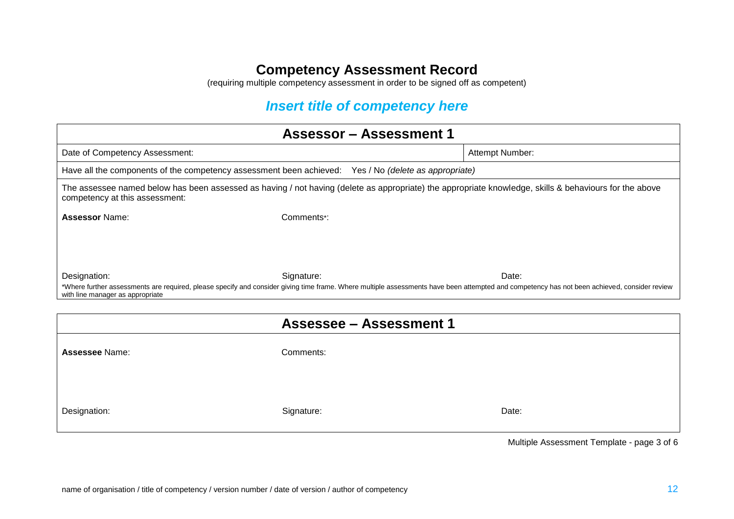(requiring multiple competency assessment in order to be signed off as competent)

# *Insert title of competency here*

| <b>Assessor - Assessment 1</b>                                                                                                                                                                                                   |                                |       |  |  |  |
|----------------------------------------------------------------------------------------------------------------------------------------------------------------------------------------------------------------------------------|--------------------------------|-------|--|--|--|
| Date of Competency Assessment:                                                                                                                                                                                                   | Attempt Number:                |       |  |  |  |
| Have all the components of the competency assessment been achieved: Yes / No (delete as appropriate)                                                                                                                             |                                |       |  |  |  |
| The assessee named below has been assessed as having / not having (delete as appropriate) the appropriate knowledge, skills & behaviours for the above<br>competency at this assessment:                                         |                                |       |  |  |  |
| <b>Assessor Name:</b>                                                                                                                                                                                                            | Comments*:                     |       |  |  |  |
|                                                                                                                                                                                                                                  |                                |       |  |  |  |
|                                                                                                                                                                                                                                  |                                |       |  |  |  |
| Designation:                                                                                                                                                                                                                     | Signature:                     | Date: |  |  |  |
| *Where further assessments are required, please specify and consider giving time frame. Where multiple assessments have been attempted and competency has not been achieved, consider review<br>with line manager as appropriate |                                |       |  |  |  |
|                                                                                                                                                                                                                                  |                                |       |  |  |  |
|                                                                                                                                                                                                                                  | <b>Assessee - Assessment 1</b> |       |  |  |  |
| Assessee Name:                                                                                                                                                                                                                   | Comments:                      |       |  |  |  |
|                                                                                                                                                                                                                                  |                                |       |  |  |  |
|                                                                                                                                                                                                                                  |                                |       |  |  |  |
| Designation:                                                                                                                                                                                                                     | Signature:                     | Date: |  |  |  |
|                                                                                                                                                                                                                                  |                                |       |  |  |  |

Multiple Assessment Template - page 3 of 6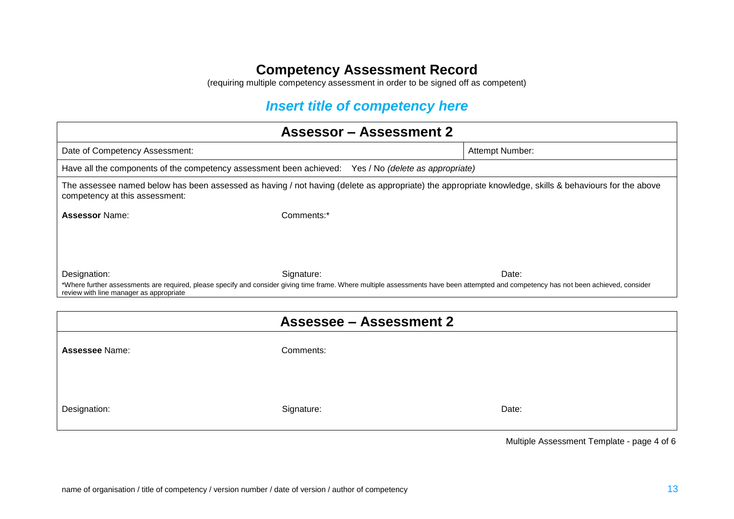(requiring multiple competency assessment in order to be signed off as competent)

## *Insert title of competency here*

| <b>Assessor - Assessment 2</b>                                                                                                                                                                                                   |                                |                 |  |  |  |
|----------------------------------------------------------------------------------------------------------------------------------------------------------------------------------------------------------------------------------|--------------------------------|-----------------|--|--|--|
| Date of Competency Assessment:                                                                                                                                                                                                   |                                | Attempt Number: |  |  |  |
| Have all the components of the competency assessment been achieved: Yes / No (delete as appropriate)                                                                                                                             |                                |                 |  |  |  |
| The assessee named below has been assessed as having / not having (delete as appropriate) the appropriate knowledge, skills & behaviours for the above<br>competency at this assessment:                                         |                                |                 |  |  |  |
| <b>Assessor Name:</b>                                                                                                                                                                                                            | Comments:*                     |                 |  |  |  |
|                                                                                                                                                                                                                                  |                                |                 |  |  |  |
|                                                                                                                                                                                                                                  |                                |                 |  |  |  |
| Designation:                                                                                                                                                                                                                     | Signature:                     | Date:           |  |  |  |
| *Where further assessments are required, please specify and consider giving time frame. Where multiple assessments have been attempted and competency has not been achieved, consider<br>review with line manager as appropriate |                                |                 |  |  |  |
|                                                                                                                                                                                                                                  |                                |                 |  |  |  |
|                                                                                                                                                                                                                                  | <b>Assessee - Assessment 2</b> |                 |  |  |  |
| <b>Assessee Name:</b>                                                                                                                                                                                                            | Comments:                      |                 |  |  |  |
|                                                                                                                                                                                                                                  |                                |                 |  |  |  |
| Designation:                                                                                                                                                                                                                     | Signature:                     | Date:           |  |  |  |

Multiple Assessment Template - page 4 of 6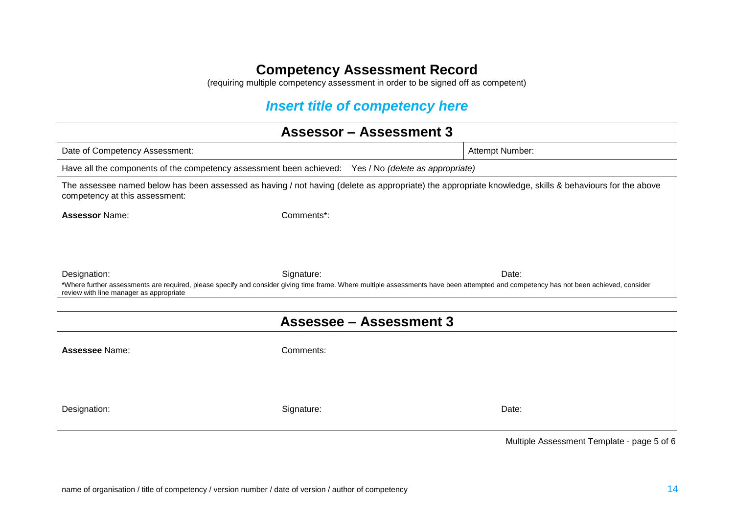(requiring multiple competency assessment in order to be signed off as competent)

## *Insert title of competency here*

| <b>Assessor - Assessment 3</b>                                                                                                                                                                                                   |                                |                 |  |  |
|----------------------------------------------------------------------------------------------------------------------------------------------------------------------------------------------------------------------------------|--------------------------------|-----------------|--|--|
| Date of Competency Assessment:                                                                                                                                                                                                   |                                | Attempt Number: |  |  |
| Have all the components of the competency assessment been achieved: Yes / No (delete as appropriate)                                                                                                                             |                                |                 |  |  |
| The assessee named below has been assessed as having / not having (delete as appropriate) the appropriate knowledge, skills & behaviours for the above<br>competency at this assessment:                                         |                                |                 |  |  |
| <b>Assessor Name:</b>                                                                                                                                                                                                            | Comments*:                     |                 |  |  |
|                                                                                                                                                                                                                                  |                                |                 |  |  |
|                                                                                                                                                                                                                                  |                                |                 |  |  |
| Designation:                                                                                                                                                                                                                     | Signature:                     | Date:           |  |  |
| *Where further assessments are required, please specify and consider giving time frame. Where multiple assessments have been attempted and competency has not been achieved, consider<br>review with line manager as appropriate |                                |                 |  |  |
|                                                                                                                                                                                                                                  |                                |                 |  |  |
|                                                                                                                                                                                                                                  | <b>Assessee - Assessment 3</b> |                 |  |  |
| <b>Assessee Name:</b>                                                                                                                                                                                                            | Comments:                      |                 |  |  |
|                                                                                                                                                                                                                                  |                                |                 |  |  |
|                                                                                                                                                                                                                                  |                                |                 |  |  |
|                                                                                                                                                                                                                                  |                                | Date:           |  |  |
| Designation:                                                                                                                                                                                                                     | Signature:                     |                 |  |  |
|                                                                                                                                                                                                                                  |                                |                 |  |  |

Multiple Assessment Template - page 5 of 6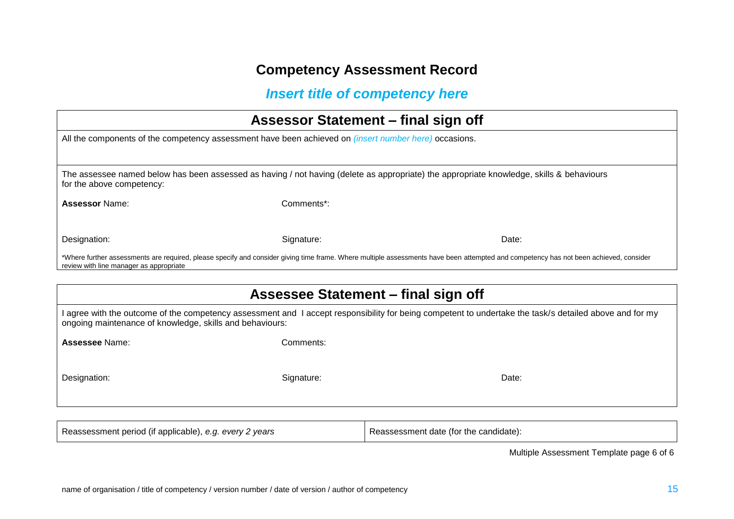## *Insert title of competency here*

| Assessor Statement – final sign off                                                                                                                                                                                              |            |       |  |  |  |
|----------------------------------------------------------------------------------------------------------------------------------------------------------------------------------------------------------------------------------|------------|-------|--|--|--|
| All the components of the competency assessment have been achieved on <i>(insert number here)</i> occasions.                                                                                                                     |            |       |  |  |  |
|                                                                                                                                                                                                                                  |            |       |  |  |  |
| The assessee named below has been assessed as having / not having (delete as appropriate) the appropriate knowledge, skills & behaviours<br>for the above competency:                                                            |            |       |  |  |  |
| <b>Assessor Name:</b>                                                                                                                                                                                                            | Comments*: |       |  |  |  |
| Designation:                                                                                                                                                                                                                     | Signature: | Date: |  |  |  |
| *Where further assessments are required, please specify and consider giving time frame. Where multiple assessments have been attempted and competency has not been achieved, consider<br>review with line manager as appropriate |            |       |  |  |  |
|                                                                                                                                                                                                                                  |            |       |  |  |  |
| Assessee Statement – final sign off                                                                                                                                                                                              |            |       |  |  |  |

|                                                          | I agree with the outcome of the competency assessment and I accept responsibility for being competent to undertake the task/s detailed above and for my |
|----------------------------------------------------------|---------------------------------------------------------------------------------------------------------------------------------------------------------|
| ongoing maintenance of knowledge, skills and behaviours: |                                                                                                                                                         |

**Assessee** Name: Comments:

Designation: Date: Date: Signature: Signature: Date: Date: Date: Date: Date: Date: Date: Date: Date: Date: Date: Date: Date: Date: Date: Date: Date: Date: Date: Date: Date: Date: Date: Date: Date: Date: Date: Date: Date: D

Reassessment period (if applicable), *e.g. every 2 years* Reassessment date (for the candidate):

Multiple Assessment Template page 6 of 6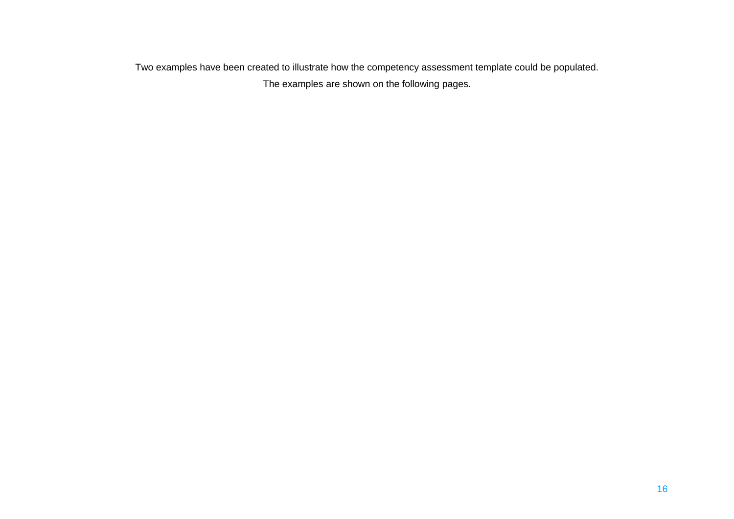Two examples have been created to illustrate how the competency assessment template could be populated. The examples are shown on the following pages.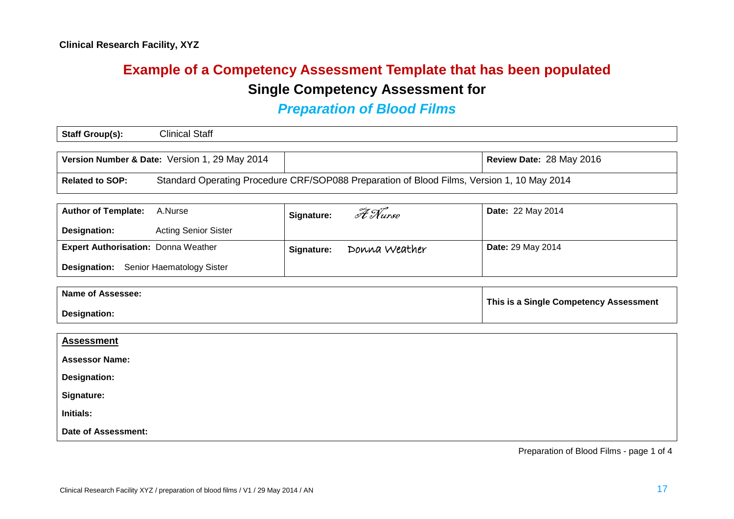# **Example of a Competency Assessment Template that has been populated Single Competency Assessment for**

### *Preparation of Blood Films*

| Staff Group(s): | <b>Clinical Staff</b>                         |                          |
|-----------------|-----------------------------------------------|--------------------------|
|                 |                                               |                          |
|                 | Version Number & Date: Version 1, 29 May 2014 | Review Date: 28 May 2016 |

**Related to SOP:** Standard Operating Procedure CRF/SOP088 Preparation of Blood Films, Version 1, 10 May 2014

| <b>Author of Template: A.Nurse</b>         |                             | Signature: | A Nurse       | <b>Date: 22 May 2014</b> |
|--------------------------------------------|-----------------------------|------------|---------------|--------------------------|
| Designation:                               | <b>Acting Senior Sister</b> |            |               |                          |
| <b>Expert Authorisation: Donna Weather</b> |                             | Signature: | Donna Weather | <b>Date: 29 May 2014</b> |
| <b>Designation:</b>                        | Senior Haematology Sister   |            |               |                          |

| Name of Assessee: | This is a Single Competency Assessment |
|-------------------|----------------------------------------|
| Designation:      |                                        |

| <b>Assessment</b>     |  |
|-----------------------|--|
| <b>Assessor Name:</b> |  |
| <b>Designation:</b>   |  |
| Signature:            |  |
| Initials:             |  |
| Date of Assessment:   |  |

Preparation of Blood Films - page 1 of 4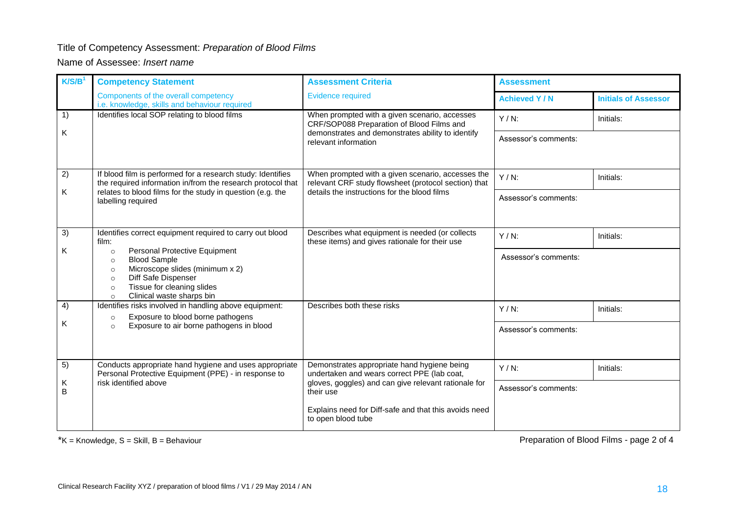### Title of Competency Assessment: *Preparation of Blood Films*

#### Name of Assessee: *Insert name*

| K/S/B <sup>1</sup> | <b>Competency Statement</b>                                                                                                                                                                                                                 | <b>Assessment Criteria</b>                                                                                | <b>Assessment</b>    |                             |  |
|--------------------|---------------------------------------------------------------------------------------------------------------------------------------------------------------------------------------------------------------------------------------------|-----------------------------------------------------------------------------------------------------------|----------------------|-----------------------------|--|
|                    | Components of the overall competency<br>i.e. knowledge, skills and behaviour required                                                                                                                                                       | <b>Evidence required</b>                                                                                  | <b>Achieved Y/N</b>  | <b>Initials of Assessor</b> |  |
| 1)                 | Identifies local SOP relating to blood films                                                                                                                                                                                                | When prompted with a given scenario, accesses<br>CRF/SOP088 Preparation of Blood Films and                | $Y/N$ :              | Initials:                   |  |
| Κ                  |                                                                                                                                                                                                                                             | demonstrates and demonstrates ability to identify<br>relevant information                                 | Assessor's comments: |                             |  |
| 2)                 | If blood film is performed for a research study: Identifies<br>the required information in/from the research protocol that                                                                                                                  | When prompted with a given scenario, accesses the<br>relevant CRF study flowsheet (protocol section) that | $Y/N$ :              | Initials:                   |  |
| Κ                  | relates to blood films for the study in question (e.g. the<br>labelling required                                                                                                                                                            | details the instructions for the blood films                                                              | Assessor's comments: |                             |  |
| 3)                 | Identifies correct equipment required to carry out blood<br>film:                                                                                                                                                                           | Describes what equipment is needed (or collects<br>these items) and gives rationale for their use         | $Y/N$ :              | Initials:                   |  |
| Κ                  | Personal Protective Equipment<br>$\circ$<br><b>Blood Sample</b><br>$\circ$<br>Microscope slides (minimum x 2)<br>$\circ$<br>Diff Safe Dispenser<br>$\circ$<br>Tissue for cleaning slides<br>$\circ$<br>Clinical waste sharps bin<br>$\circ$ |                                                                                                           | Assessor's comments: |                             |  |
| 4)                 | Identifies risks involved in handling above equipment:<br>Exposure to blood borne pathogens<br>$\circ$                                                                                                                                      | Describes both these risks                                                                                | $Y/N$ :              | Initials:                   |  |
| Κ                  | Exposure to air borne pathogens in blood<br>$\circ$                                                                                                                                                                                         |                                                                                                           | Assessor's comments: |                             |  |
| 5)                 | Conducts appropriate hand hygiene and uses appropriate<br>Personal Protective Equipment (PPE) - in response to                                                                                                                              | Demonstrates appropriate hand hygiene being<br>undertaken and wears correct PPE (lab coat,                | $Y/N$ :              | Initials:                   |  |
| Κ<br>B             | risk identified above<br>gloves, goggles) and can give relevant rationale for<br>their use                                                                                                                                                  |                                                                                                           | Assessor's comments: |                             |  |
|                    |                                                                                                                                                                                                                                             | Explains need for Diff-safe and that this avoids need<br>to open blood tube                               |                      |                             |  |

 $*K =$  Knowledge,  $S =$  Skill,  $B =$  Behaviour

Preparation of Blood Films - page 2 of 4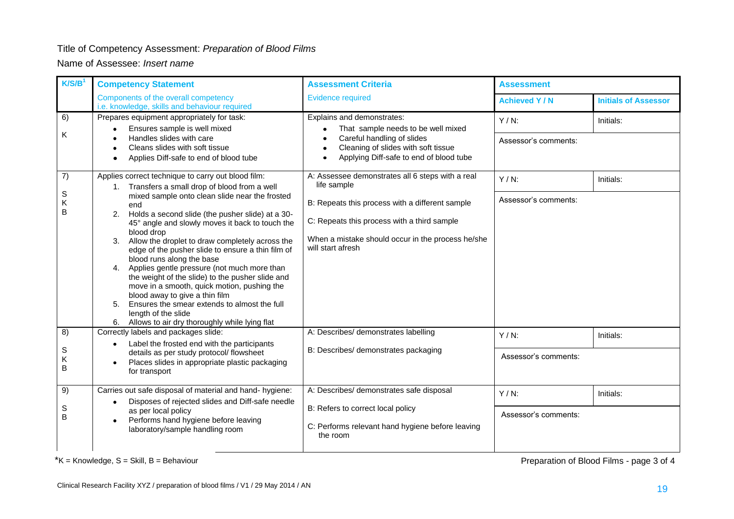#### Title of Competency Assessment: *Preparation of Blood Films*

Name of Assessee: *Insert name*

| K/S/B <sup>1</sup> | <b>Competency Statement</b>                                                                                                                                                            | <b>Assessment Criteria</b>                                                                                   | <b>Assessment</b>    |                             |
|--------------------|----------------------------------------------------------------------------------------------------------------------------------------------------------------------------------------|--------------------------------------------------------------------------------------------------------------|----------------------|-----------------------------|
|                    | Components of the overall competency<br>i.e. knowledge, skills and behaviour required                                                                                                  | <b>Evidence required</b>                                                                                     | <b>Achieved Y/N</b>  | <b>Initials of Assessor</b> |
| 6)                 | Prepares equipment appropriately for task:<br>Ensures sample is well mixed                                                                                                             | Explains and demonstrates:<br>That sample needs to be well mixed                                             | $Y/N$ :              | Initials:                   |
| Κ                  | Handles slides with care<br>Cleans slides with soft tissue<br>Applies Diff-safe to end of blood tube<br>$\bullet$                                                                      | Careful handling of slides<br>Cleaning of slides with soft tissue<br>Applying Diff-safe to end of blood tube | Assessor's comments: |                             |
| 7)                 | Applies correct technique to carry out blood film:<br>1. Transfers a small drop of blood from a well                                                                                   | A: Assessee demonstrates all 6 steps with a real<br>life sample                                              | $Y/N$ :              | Initials:                   |
| S<br>Κ<br>B        | mixed sample onto clean slide near the frosted<br>end                                                                                                                                  | B: Repeats this process with a different sample                                                              | Assessor's comments: |                             |
|                    | Holds a second slide (the pusher slide) at a 30-<br>2.<br>45° angle and slowly moves it back to touch the<br>blood drop                                                                | C: Repeats this process with a third sample<br>When a mistake should occur in the process he/she             |                      |                             |
|                    | Allow the droplet to draw completely across the<br>3.<br>edge of the pusher slide to ensure a thin film of<br>blood runs along the base                                                | will start afresh                                                                                            |                      |                             |
|                    | Applies gentle pressure (not much more than<br>4.<br>the weight of the slide) to the pusher slide and<br>move in a smooth, quick motion, pushing the<br>blood away to give a thin film |                                                                                                              |                      |                             |
|                    | Ensures the smear extends to almost the full<br>5.<br>length of the slide<br>6. Allows to air dry thoroughly while lying flat                                                          |                                                                                                              |                      |                             |
| 8)                 | Correctly labels and packages slide:                                                                                                                                                   | A: Describes/ demonstrates labelling                                                                         | $Y/N$ :              | Initials:                   |
| S<br>Κ<br>B        | Label the frosted end with the participants<br>$\bullet$<br>details as per study protocol/ flowsheet<br>Places slides in appropriate plastic packaging<br>for transport                | B: Describes/ demonstrates packaging                                                                         | Assessor's comments: |                             |
| 9)                 | Carries out safe disposal of material and hand-hygiene:                                                                                                                                | A: Describes/ demonstrates safe disposal                                                                     | $Y/N$ :              | Initials:                   |
| S<br>B             | Disposes of rejected slides and Diff-safe needle<br>as per local policy                                                                                                                | B: Refers to correct local policy                                                                            | Assessor's comments: |                             |
|                    | Performs hand hygiene before leaving<br>laboratory/sample handling room                                                                                                                | C: Performs relevant hand hygiene before leaving<br>the room                                                 |                      |                             |

 $*K =$  Knowledge,  $S =$  Skill,  $B =$  Behaviour

Preparation of Blood Films - page 3 of 4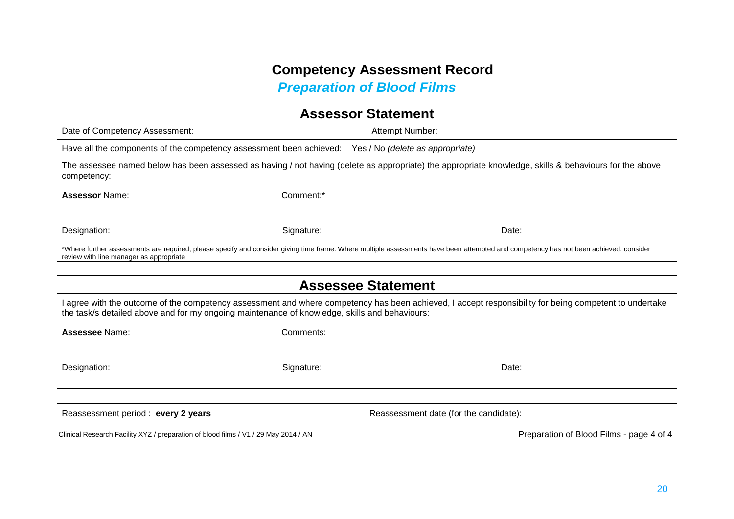# *Preparation of Blood Films*

| <b>Assessor Statement</b>                                                                                                                                                                                                        |            |                                  |  |  |
|----------------------------------------------------------------------------------------------------------------------------------------------------------------------------------------------------------------------------------|------------|----------------------------------|--|--|
| Date of Competency Assessment:                                                                                                                                                                                                   |            | Attempt Number:                  |  |  |
| Have all the components of the competency assessment been achieved:                                                                                                                                                              |            | Yes / No (delete as appropriate) |  |  |
| The assessee named below has been assessed as having / not having (delete as appropriate) the appropriate knowledge, skills & behaviours for the above<br>competency:                                                            |            |                                  |  |  |
| <b>Assessor Name:</b>                                                                                                                                                                                                            | Comment:*  |                                  |  |  |
|                                                                                                                                                                                                                                  |            |                                  |  |  |
| Designation:                                                                                                                                                                                                                     | Signature: | Date:                            |  |  |
| *Where further assessments are required, please specify and consider giving time frame. Where multiple assessments have been attempted and competency has not been achieved, consider<br>review with line manager as appropriate |            |                                  |  |  |

| <b>Assessee Statement</b>                                                                                                                                                                                                                               |  |  |  |  |
|---------------------------------------------------------------------------------------------------------------------------------------------------------------------------------------------------------------------------------------------------------|--|--|--|--|
| I agree with the outcome of the competency assessment and where competency has been achieved, I accept responsibility for being competent to undertake<br>the task/s detailed above and for my ongoing maintenance of knowledge, skills and behaviours: |  |  |  |  |
| <b>Assessee Name:</b><br>Comments:                                                                                                                                                                                                                      |  |  |  |  |
| Designation:<br>Signature:<br>Date:                                                                                                                                                                                                                     |  |  |  |  |
|                                                                                                                                                                                                                                                         |  |  |  |  |

Reassessment period : **every 2 years** Reassessment date (for the candidate):

Clinical Research Facility XYZ / preparation of blood films / V1 / 29 May 2014 / AN Preparation of Blood Films - page 4 of 4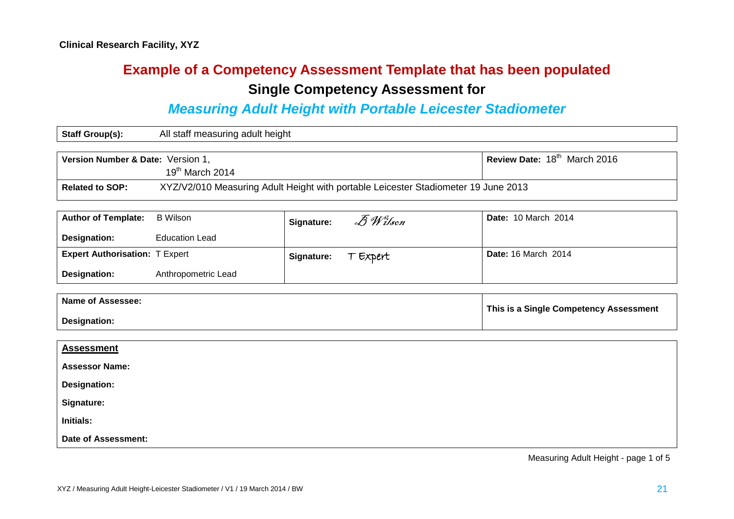# **Example of a Competency Assessment Template that has been populated Single Competency Assessment for**

### *Measuring Adult Height with Portable Leicester Stadiometer*

| <b>Staff Group(s):</b>                                                                                       | All staff measuring adult height |  |
|--------------------------------------------------------------------------------------------------------------|----------------------------------|--|
|                                                                                                              |                                  |  |
| Review Date: 18 <sup>th</sup> March 2016<br>Version Number & Date: Version 1,                                |                                  |  |
|                                                                                                              | $19th$ March 2014                |  |
| XYZ/V2/010 Measuring Adult Height with portable Leicester Stadiometer 19 June 2013<br><b>Related to SOP:</b> |                                  |  |

| <b>Author of Template:</b>            | B Wilson              | Signature: | $\bar{\mathscr{B}}$ <i>Wilson</i> | <b>Date: 10 March 2014</b> |
|---------------------------------------|-----------------------|------------|-----------------------------------|----------------------------|
| Designation:                          | <b>Education Lead</b> |            |                                   |                            |
| <b>Expert Authorisation: T Expert</b> |                       | Signature: | T Expert                          | <b>Date: 16 March 2014</b> |
| Designation:                          | Anthropometric Lead   |            |                                   |                            |

| Name of Assessee: | This is a Single Competency Assessment |
|-------------------|----------------------------------------|
| Designation:      |                                        |

| <b>Assessment</b>          |  |
|----------------------------|--|
| <b>Assessor Name:</b>      |  |
| <b>Designation:</b>        |  |
| Signature:                 |  |
| <b>Initials:</b>           |  |
| <b>Date of Assessment:</b> |  |

Measuring Adult Height - page 1 of 5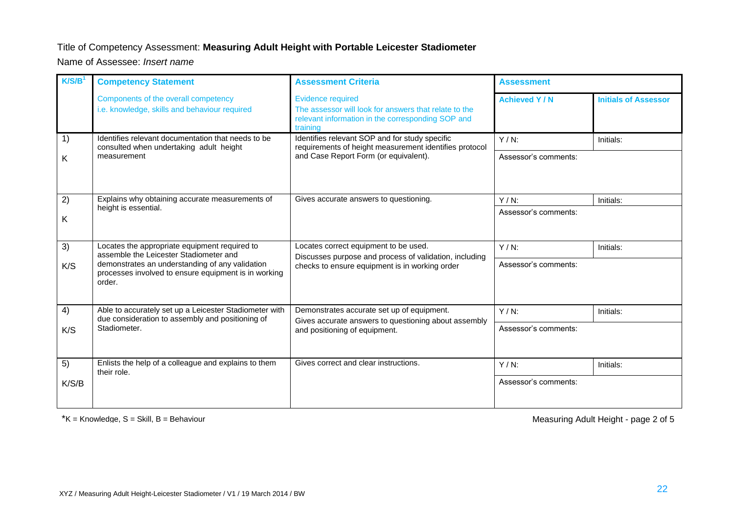#### Title of Competency Assessment: **Measuring Adult Height with Portable Leicester Stadiometer**

Name of Assessee: *Insert name*

| K/S/B <sup>1</sup> | <b>Competency Statement</b>                                                                                       | <b>Assessment Criteria</b>                                                                                                                         | <b>Assessment</b>    |                             |
|--------------------|-------------------------------------------------------------------------------------------------------------------|----------------------------------------------------------------------------------------------------------------------------------------------------|----------------------|-----------------------------|
|                    | Components of the overall competency<br>i.e. knowledge, skills and behaviour required                             | <b>Evidence required</b><br>The assessor will look for answers that relate to the<br>relevant information in the corresponding SOP and<br>training | <b>Achieved Y/N</b>  | <b>Initials of Assessor</b> |
| 1)                 | Identifies relevant documentation that needs to be<br>consulted when undertaking adult height                     | Identifies relevant SOP and for study specific<br>requirements of height measurement identifies protocol                                           | $Y/N$ :              | Initials:                   |
| Κ                  | measurement                                                                                                       | and Case Report Form (or equivalent).                                                                                                              | Assessor's comments: |                             |
| 2)                 | Explains why obtaining accurate measurements of<br>height is essential.                                           | Gives accurate answers to questioning.                                                                                                             | $Y/N$ :              | Initials:                   |
| Κ                  |                                                                                                                   |                                                                                                                                                    | Assessor's comments: |                             |
| 3)                 | Locates the appropriate equipment required to<br>assemble the Leicester Stadiometer and                           | Locates correct equipment to be used.                                                                                                              | $Y/N$ :              | Initials:                   |
| K/S                | demonstrates an understanding of any validation<br>processes involved to ensure equipment is in working<br>order. | Discusses purpose and process of validation, including<br>checks to ensure equipment is in working order                                           | Assessor's comments: |                             |
| 4)                 | Able to accurately set up a Leicester Stadiometer with<br>due consideration to assembly and positioning of        | Demonstrates accurate set up of equipment.                                                                                                         | $Y/N$ :              | Initials:                   |
| K/S                | Stadiometer.                                                                                                      | Gives accurate answers to questioning about assembly<br>and positioning of equipment.                                                              | Assessor's comments: |                             |
| 5)                 | Enlists the help of a colleague and explains to them<br>their role.                                               | Gives correct and clear instructions.                                                                                                              | $Y/N$ :              | Initials:                   |
| K/S/B              |                                                                                                                   |                                                                                                                                                    | Assessor's comments: |                             |

\*K = Knowledge, S = Skill, B = Behaviour Measuring Adult Height - page 2 of 5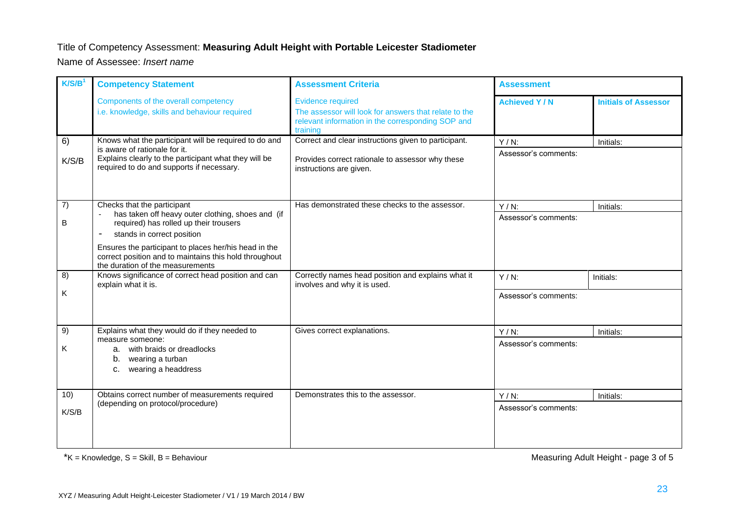### Title of Competency Assessment: **Measuring Adult Height with Portable Leicester Stadiometer**

Name of Assessee: *Insert name*

| K/S/B <sup>1</sup> | <b>Competency Statement</b>                                                                                                                         | <b>Assessment Criteria</b>                                                                                                                         | <b>Assessment</b>               |                             |
|--------------------|-----------------------------------------------------------------------------------------------------------------------------------------------------|----------------------------------------------------------------------------------------------------------------------------------------------------|---------------------------------|-----------------------------|
|                    | Components of the overall competency<br>i.e. knowledge, skills and behaviour required                                                               | <b>Evidence required</b><br>The assessor will look for answers that relate to the<br>relevant information in the corresponding SOP and<br>training | <b>Achieved Y/N</b>             | <b>Initials of Assessor</b> |
| 6)                 | Knows what the participant will be required to do and<br>is aware of rationale for it.                                                              | Correct and clear instructions given to participant.                                                                                               | $Y/N$ :<br>Assessor's comments: | Initials:                   |
| K/S/B              | Explains clearly to the participant what they will be<br>required to do and supports if necessary.                                                  | Provides correct rationale to assessor why these<br>instructions are given.                                                                        |                                 |                             |
| 7)                 | Checks that the participant<br>has taken off heavy outer clothing, shoes and (if                                                                    | Has demonstrated these checks to the assessor.                                                                                                     | $Y/N$ :                         | Initials:                   |
| В                  | required) has rolled up their trousers<br>stands in correct position                                                                                |                                                                                                                                                    | Assessor's comments:            |                             |
|                    | Ensures the participant to places her/his head in the<br>correct position and to maintains this hold throughout<br>the duration of the measurements |                                                                                                                                                    |                                 |                             |
| 8)                 | Knows significance of correct head position and can<br>explain what it is.                                                                          | Correctly names head position and explains what it<br>involves and why it is used.                                                                 | $Y/N$ :                         | Initials:                   |
| Κ                  |                                                                                                                                                     |                                                                                                                                                    | Assessor's comments:            |                             |
| 9)                 | Explains what they would do if they needed to<br>measure someone:                                                                                   | Gives correct explanations.                                                                                                                        | $Y/N$ :                         | Initials:                   |
| ĸ.                 | a. with braids or dreadlocks<br>b. wearing a turban<br>wearing a headdress<br>C.                                                                    |                                                                                                                                                    | Assessor's comments:            |                             |
| 10)                | Obtains correct number of measurements required<br>(depending on protocol/procedure)                                                                | Demonstrates this to the assessor.                                                                                                                 | $Y/N$ :                         | Initials:                   |
| K/S/B              |                                                                                                                                                     |                                                                                                                                                    | Assessor's comments:            |                             |

\*K = Knowledge, S = Skill, B = Behaviour Measuring Adult Height - page 3 of 5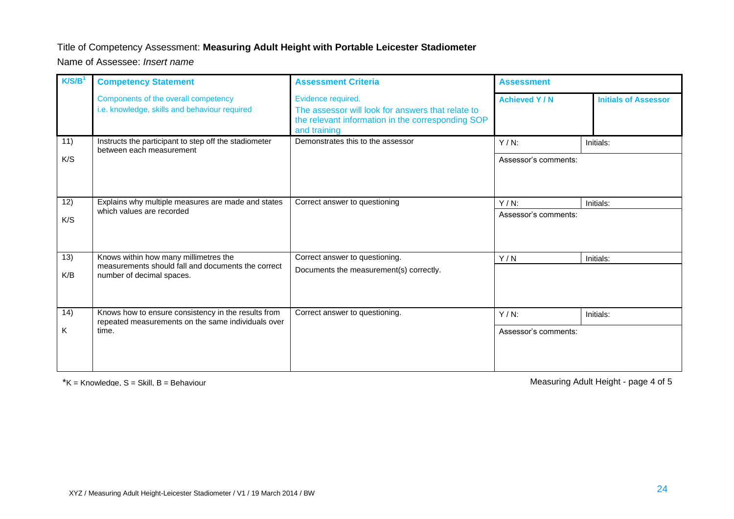#### Title of Competency Assessment: **Measuring Adult Height with Portable Leicester Stadiometer**

Name of Assessee: *Insert name*

| K/S/B <sup>1</sup> | <b>Competency Statement</b>                                                                                              | <b>Assessment Criteria</b>                                                                                                                   | <b>Assessment</b>               |                             |
|--------------------|--------------------------------------------------------------------------------------------------------------------------|----------------------------------------------------------------------------------------------------------------------------------------------|---------------------------------|-----------------------------|
|                    | Components of the overall competency<br>i.e. knowledge, skills and behaviour required                                    | Evidence required.<br>The assessor will look for answers that relate to<br>the relevant information in the corresponding SOP<br>and training | <b>Achieved Y/N</b>             | <b>Initials of Assessor</b> |
| 11)<br>K/S         | Instructs the participant to step off the stadiometer<br>between each measurement                                        | Demonstrates this to the assessor                                                                                                            | $Y/N$ :<br>Assessor's comments: | Initials:                   |
| 12)<br>K/S         | Explains why multiple measures are made and states<br>which values are recorded                                          | Correct answer to questioning                                                                                                                | $Y/N$ :<br>Assessor's comments: | Initials:                   |
| 13)<br>K/B         | Knows within how many millimetres the<br>measurements should fall and documents the correct<br>number of decimal spaces. | Correct answer to questioning.<br>Documents the measurement(s) correctly.                                                                    | Y/N                             | Initials:                   |
| 14)<br>Κ           | Knows how to ensure consistency in the results from<br>repeated measurements on the same individuals over<br>time.       | Correct answer to questioning.                                                                                                               | $Y/N$ :<br>Assessor's comments: | Initials:                   |

\*K = Knowledge, S = Skill, B = Behaviour Measuring Adult Height - page 4 of 5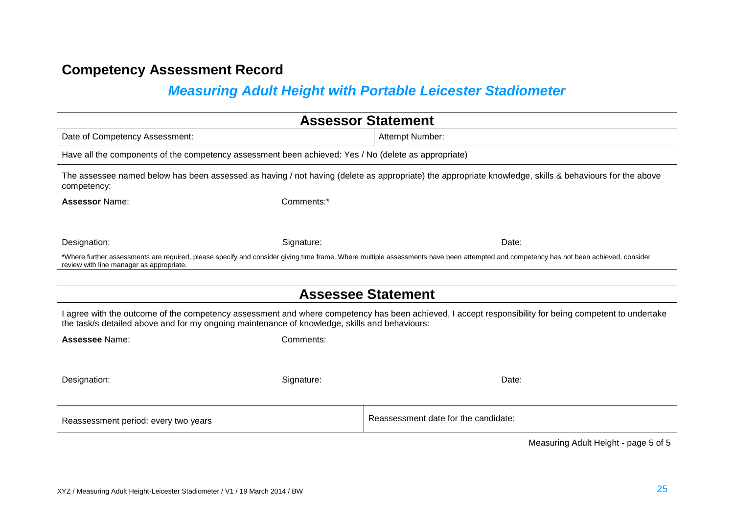## *Measuring Adult Height with Portable Leicester Stadiometer*

| <b>Assessor Statement</b>                                                                                                                                                                                                                               |            |                                                                                                                                                                                       |  |
|---------------------------------------------------------------------------------------------------------------------------------------------------------------------------------------------------------------------------------------------------------|------------|---------------------------------------------------------------------------------------------------------------------------------------------------------------------------------------|--|
| Date of Competency Assessment:                                                                                                                                                                                                                          |            | Attempt Number:                                                                                                                                                                       |  |
| Have all the components of the competency assessment been achieved: Yes / No (delete as appropriate)                                                                                                                                                    |            |                                                                                                                                                                                       |  |
| competency:                                                                                                                                                                                                                                             |            | The assessee named below has been assessed as having / not having (delete as appropriate) the appropriate knowledge, skills & behaviours for the above                                |  |
| <b>Assessor Name:</b>                                                                                                                                                                                                                                   | Comments:* |                                                                                                                                                                                       |  |
|                                                                                                                                                                                                                                                         |            |                                                                                                                                                                                       |  |
| Designation:                                                                                                                                                                                                                                            | Signature: | Date:                                                                                                                                                                                 |  |
| review with line manager as appropriate.                                                                                                                                                                                                                |            | *Where further assessments are required, please specify and consider giving time frame. Where multiple assessments have been attempted and competency has not been achieved, consider |  |
|                                                                                                                                                                                                                                                         |            |                                                                                                                                                                                       |  |
|                                                                                                                                                                                                                                                         |            | <b>Assessee Statement</b>                                                                                                                                                             |  |
| I agree with the outcome of the competency assessment and where competency has been achieved, I accept responsibility for being competent to undertake<br>the task/s detailed above and for my ongoing maintenance of knowledge, skills and behaviours: |            |                                                                                                                                                                                       |  |
| Assessee Name:                                                                                                                                                                                                                                          | Comments:  |                                                                                                                                                                                       |  |
|                                                                                                                                                                                                                                                         |            |                                                                                                                                                                                       |  |
|                                                                                                                                                                                                                                                         |            |                                                                                                                                                                                       |  |
| Designation:                                                                                                                                                                                                                                            | Signature: | Date:                                                                                                                                                                                 |  |
|                                                                                                                                                                                                                                                         |            |                                                                                                                                                                                       |  |
| Reassessment period: every two years                                                                                                                                                                                                                    |            | Reassessment date for the candidate:                                                                                                                                                  |  |

Measuring Adult Height - page 5 of 5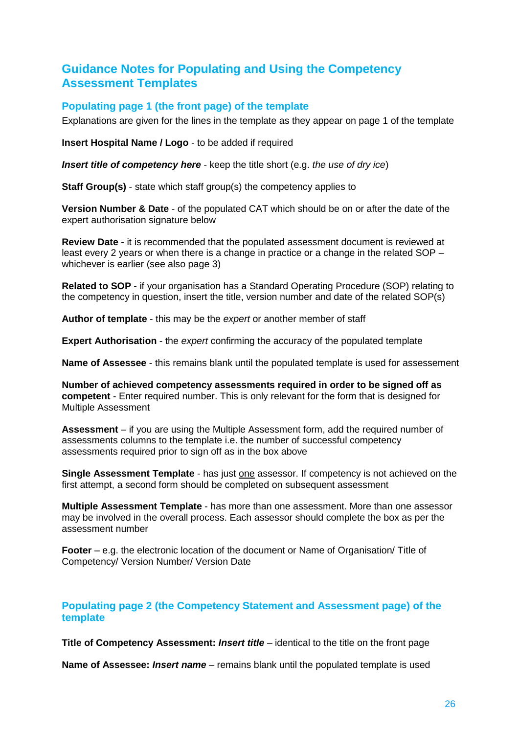### **Guidance Notes for Populating and Using the Competency Assessment Templates**

### **Populating page 1 (the front page) of the template**

Explanations are given for the lines in the template as they appear on page 1 of the template

**Insert Hospital Name / Logo** - to be added if required

*Insert title of competency here -* keep the title short (e.g. *the use of dry ice*)

**Staff Group(s)** - state which staff group(s) the competency applies to

**Version Number & Date** - of the populated CAT which should be on or after the date of the expert authorisation signature below

**Review Date** - it is recommended that the populated assessment document is reviewed at least every 2 years or when there is a change in practice or a change in the related SOP – whichever is earlier (see also page 3)

**Related to SOP** - if your organisation has a Standard Operating Procedure (SOP) relating to the competency in question, insert the title, version number and date of the related SOP(s)

**Author of template** - this may be the *expert* or another member of staff

**Expert Authorisation** - the *expert* confirming the accuracy of the populated template

**Name of Assessee** - this remains blank until the populated template is used for assessement

**Number of achieved competency assessments required in order to be signed off as competent** - Enter required number. This is only relevant for the form that is designed for Multiple Assessment

**Assessment** – if you are using the Multiple Assessment form, add the required number of assessments columns to the template i.e. the number of successful competency assessments required prior to sign off as in the box above

**Single Assessment Template** - has just one assessor. If competency is not achieved on the first attempt, a second form should be completed on subsequent assessment

**Multiple Assessment Template** - has more than one assessment. More than one assessor may be involved in the overall process. Each assessor should complete the box as per the assessment number

**Footer** – e.g. the electronic location of the document or Name of Organisation/ Title of Competency/ Version Number/ Version Date

### **Populating page 2 (the Competency Statement and Assessment page) of the template**

**Title of Competency Assessment:** *Insert title* – identical to the title on the front page

**Name of Assessee:** *Insert name* – remains blank until the populated template is used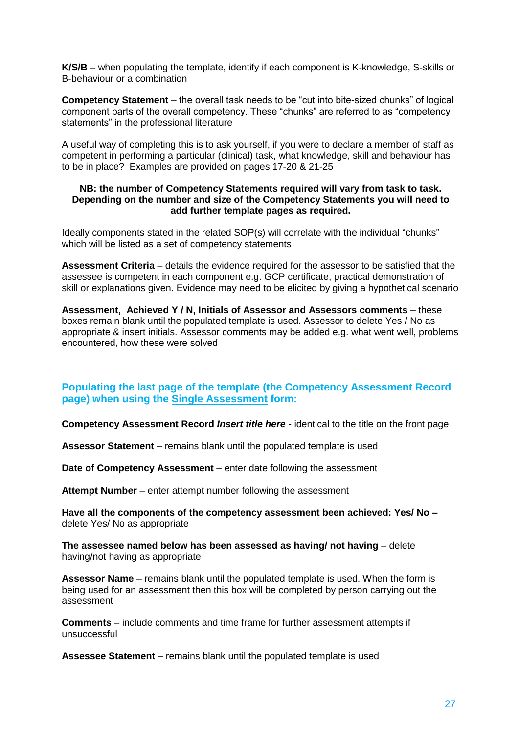**K/S/B** – when populating the template, identify if each component is K-knowledge, S-skills or B-behaviour or a combination

**Competency Statement** – the overall task needs to be "cut into bite-sized chunks" of logical component parts of the overall competency. These "chunks" are referred to as "competency statements" in the professional literature

A useful way of completing this is to ask yourself, if you were to declare a member of staff as competent in performing a particular (clinical) task, what knowledge, skill and behaviour has to be in place? Examples are provided on pages 17-20 & 21-25

#### **NB: the number of Competency Statements required will vary from task to task. Depending on the number and size of the Competency Statements you will need to add further template pages as required.**

Ideally components stated in the related SOP(s) will correlate with the individual "chunks" which will be listed as a set of competency statements

**Assessment Criteria** – details the evidence required for the assessor to be satisfied that the assessee is competent in each component e.g. GCP certificate, practical demonstration of skill or explanations given. Evidence may need to be elicited by giving a hypothetical scenario

**Assessment, Achieved Y / N, Initials of Assessor and Assessors comments** – these boxes remain blank until the populated template is used. Assessor to delete Yes / No as appropriate & insert initials. Assessor comments may be added e.g. what went well, problems encountered, how these were solved

#### **Populating the last page of the template (the Competency Assessment Record page) when using the Single Assessment form:**

**Competency Assessment Record** *Insert title here* - identical to the title on the front page

**Assessor Statement** *–* remains blank until the populated template is used

**Date of Competency Assessment** – enter date following the assessment

**Attempt Number** – enter attempt number following the assessment

**Have all the components of the competency assessment been achieved: Yes/ No –** delete Yes/ No as appropriate

**The assessee named below has been assessed as having/ not having** – delete having/not having as appropriate

**Assessor Name** – remains blank until the populated template is used. When the form is being used for an assessment then this box will be completed by person carrying out the assessment

**Comments** – include comments and time frame for further assessment attempts if unsuccessful

**Assessee Statement** – remains blank until the populated template is used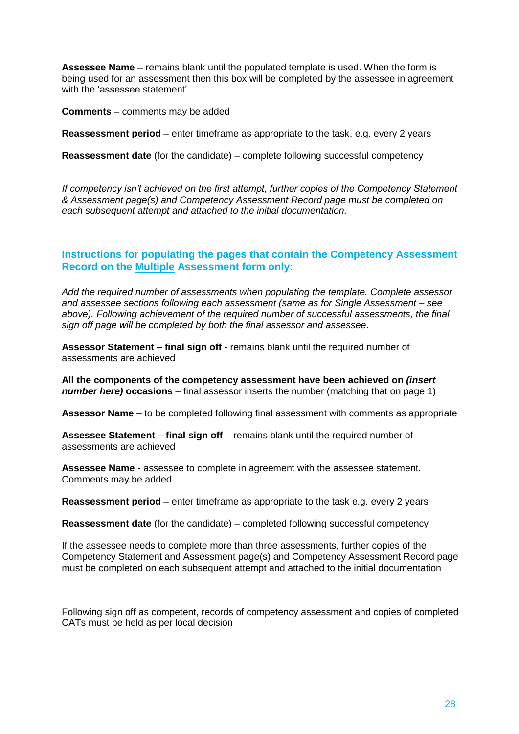**Assessee Name** – remains blank until the populated template is used. When the form is being used for an assessment then this box will be completed by the assessee in agreement with the 'assessee statement'

**Comments** – comments may be added

**Reassessment period** – enter timeframe as appropriate to the task, e.g. every 2 years

**Reassessment date** (for the candidate) – complete following successful competency

*If competency isn't achieved on the first attempt, further copies of the Competency Statement & Assessment page(s) and Competency Assessment Record page must be completed on each subsequent attempt and attached to the initial documentation.*

### **Instructions for populating the pages that contain the Competency Assessment Record on the Multiple Assessment form only:**

*Add the required number of assessments when populating the template. Complete assessor and assessee sections following each assessment (same as for Single Assessment – see above). Following achievement of the required number of successful assessments, the final sign off page will be completed by both the final assessor and assessee*.

**Assessor Statement – final sign off** - remains blank until the required number of assessments are achieved

**All the components of the competency assessment have been achieved on** *(insert number here)* **occasions** – final assessor inserts the number (matching that on page 1)

**Assessor Name** – to be completed following final assessment with comments as appropriate

**Assessee Statement – final sign off** – remains blank until the required number of assessments are achieved

**Assessee Name** - assessee to complete in agreement with the assessee statement. Comments may be added

**Reassessment period** – enter timeframe as appropriate to the task e.g. every 2 years

**Reassessment date** (for the candidate) – completed following successful competency

If the assessee needs to complete more than three assessments, further copies of the Competency Statement and Assessment page(s) and Competency Assessment Record page must be completed on each subsequent attempt and attached to the initial documentation

Following sign off as competent, records of competency assessment and copies of completed CATs must be held as per local decision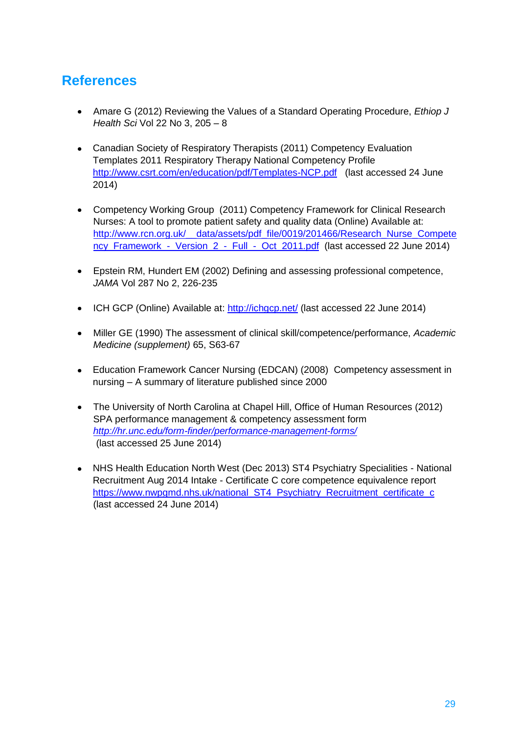# **References**

- Amare G (2012) Reviewing the Values of a Standard Operating Procedure, *Ethiop J Health Sci* Vol 22 No 3, 205 – 8
- Canadian Society of Respiratory Therapists (2011) Competency Evaluation Templates 2011 Respiratory Therapy National Competency Profile <http://www.csrt.com/en/education/pdf/Templates-NCP.pdf>(last accessed 24 June 2014)
- Competency Working Group (2011) Competency Framework for Clinical Research Nurses: A tool to promote patient safety and quality data (Online) Available at: http://www.rcn.org.uk/ data/assets/pdf file/0019/201466/Research Nurse Compete ncy\_Framework - Version 2 - Full - Oct 2011.pdf (last accessed 22 June 2014)
- Epstein RM, Hundert EM (2002) Defining and assessing professional competence, *JAMA* Vol 287 No 2, 226-235
- ICH GCP (Online) Available at:<http://ichgcp.net/> (last accessed 22 June 2014)
- Miller GE (1990) The assessment of clinical skill/competence/performance, *Academic Medicine (supplement)* 65, S63-67
- Education Framework Cancer Nursing (EDCAN) (2008) Competency assessment in nursing – A summary of literature published since 2000
- The University of North Carolina at Chapel Hill, Office of Human Resources (2012) SPA performance management & competency assessment form *<http://hr.unc.edu/form-finder/performance-management-forms/>* (last accessed 25 June 2014)
- NHS Health Education North West (Dec 2013) ST4 Psychiatry Specialities National Recruitment Aug 2014 Intake - Certificate C core competence equivalence report [https://www.nwpgmd.nhs.uk/national\\_ST4\\_Psychiatry\\_Recruitment\\_certificate\\_c](https://www.nwpgmd.nhs.uk/national_ST4_Psychiatry_Recruitment_certificate_c) (last accessed 24 June 2014)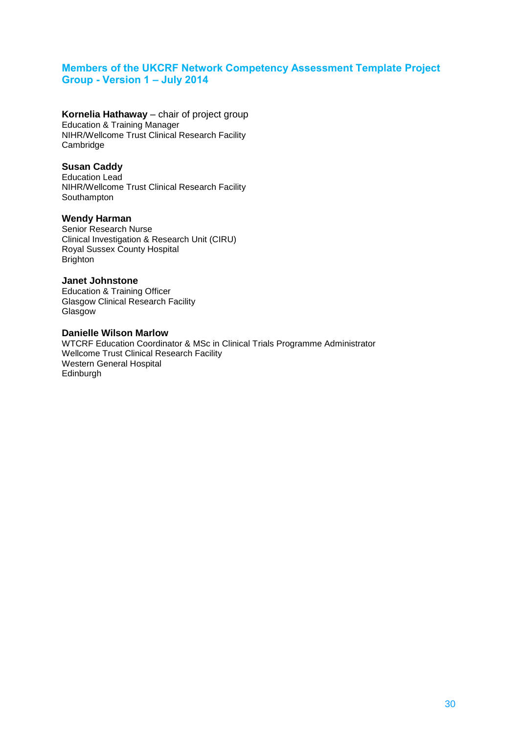### **Members of the UKCRF Network Competency Assessment Template Project Group - Version 1 – July 2014**

**Kornelia Hathaway** – chair of project group Education & Training Manager NIHR/Wellcome Trust Clinical Research Facility Cambridge

#### **Susan Caddy**

Education Lead NIHR/Wellcome Trust Clinical Research Facility **Southampton** 

#### **Wendy Harman**

Senior Research Nurse Clinical Investigation & Research Unit (CIRU) Royal Sussex County Hospital **Brighton** 

#### **Janet Johnstone**

Education & Training Officer Glasgow Clinical Research Facility Glasgow

#### **Danielle Wilson Marlow**

WTCRF Education Coordinator & MSc in Clinical Trials Programme Administrator Wellcome Trust Clinical Research Facility Western General Hospital Edinburgh